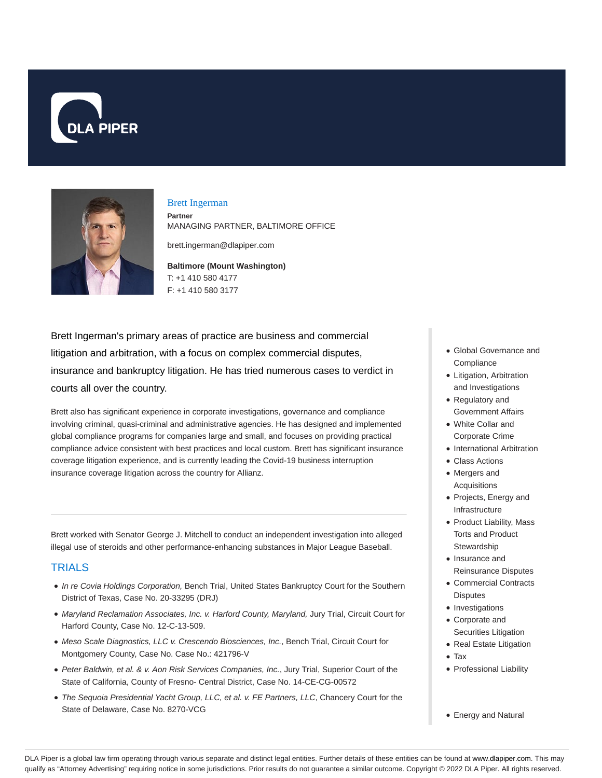



### Brett Ingerman

**Partner** MANAGING PARTNER, BALTIMORE OFFICE

brett.ingerman@dlapiper.com

**Baltimore (Mount Washington)** T: +1 410 580 4177 F: +1 410 580 3177

Brett Ingerman's primary areas of practice are business and commercial litigation and arbitration, with a focus on complex commercial disputes, insurance and bankruptcy litigation. He has tried numerous cases to verdict in courts all over the country.

Brett also has significant experience in corporate investigations, governance and compliance involving criminal, quasi-criminal and administrative agencies. He has designed and implemented global compliance programs for companies large and small, and focuses on providing practical compliance advice consistent with best practices and local custom. Brett has significant insurance coverage litigation experience, and is currently leading the Covid-19 business interruption insurance coverage litigation across the country for Allianz.

Brett worked with Senator George J. Mitchell to conduct an independent investigation into alleged illegal use of steroids and other performance-enhancing substances in Major League Baseball.

# **TRIALS**

- In re Covia Holdings Corporation, Bench Trial, United States Bankruptcy Court for the Southern District of Texas, Case No. 20-33295 (DRJ)
- Maryland Reclamation Associates, Inc. v. Harford County, Maryland, Jury Trial, Circuit Court for Harford County, Case No. 12-C-13-509.
- Meso Scale Diagnostics, LLC v. Crescendo Biosciences, Inc., Bench Trial, Circuit Court for Montgomery County, Case No. Case No.: 421796-V
- Peter Baldwin, et al. & v. Aon Risk Services Companies, Inc., Jury Trial, Superior Court of the State of California, County of Fresno- Central District, Case No. 14-CE-CG-00572
- The Sequoia Presidential Yacht Group, LLC, et al. v. FE Partners, LLC, Chancery Court for the State of Delaware, Case No. 8270-VCG
- Global Governance and **Compliance**
- Litigation, Arbitration and Investigations
- Regulatory and Government Affairs
- White Collar and Corporate Crime
- International Arbitration
- Class Actions
- Mergers and Acquisitions
- Projects, Energy and Infrastructure
- Product Liability, Mass Torts and Product **Stewardship**
- Insurance and Reinsurance Disputes
- Commercial Contracts Disputes
- Investigations
- Corporate and Securities Litigation
- Real Estate Litigation
- Tax
- Professional Liability
- Energy and Natural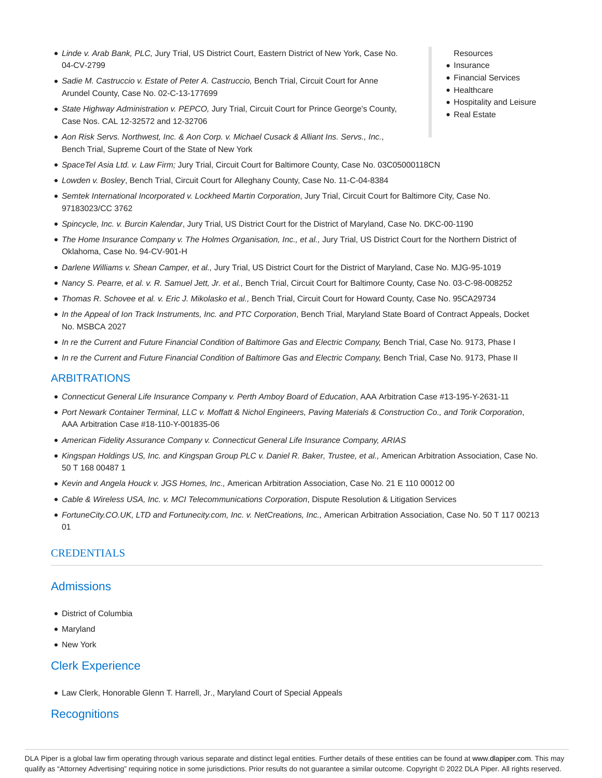- Linde v. Arab Bank, PLC, Jury Trial, US District Court, Eastern District of New York, Case No. 04-CV-2799
- Sadie M. Castruccio v. Estate of Peter A. Castruccio, Bench Trial, Circuit Court for Anne Arundel County, Case No. 02-C-13-177699
- State Highway Administration v. PEPCO, Jury Trial, Circuit Court for Prince George's County, Case Nos. CAL 12-32572 and 12-32706
- Aon Risk Servs. Northwest, Inc. & Aon Corp. v. Michael Cusack & Alliant Ins. Servs., Inc., Bench Trial, Supreme Court of the State of New York
- SpaceTel Asia Ltd. v. Law Firm; Jury Trial, Circuit Court for Baltimore County, Case No. 03C05000118CN
- Lowden v. Bosley, Bench Trial, Circuit Court for Alleghany County, Case No. 11-C-04-8384
- Semtek International Incorporated v. Lockheed Martin Corporation, Jury Trial, Circuit Court for Baltimore City, Case No. 97183023/CC 3762
- Spincycle, Inc. v. Burcin Kalendar, Jury Trial, US District Court for the District of Maryland, Case No. DKC-00-1190
- The Home Insurance Company v. The Holmes Organisation, Inc., et al., Jury Trial, US District Court for the Northern District of Oklahoma, Case No. 94-CV-901-H
- Darlene Williams v. Shean Camper, et al., Jury Trial, US District Court for the District of Maryland, Case No. MJG-95-1019
- Nancy S. Pearre, et al. v. R. Samuel Jett, Jr. et al., Bench Trial, Circuit Court for Baltimore County, Case No. 03-C-98-008252
- Thomas R. Schovee et al. v. Eric J. Mikolasko et al., Bench Trial, Circuit Court for Howard County, Case No. 95CA29734
- In the Appeal of Ion Track Instruments, Inc. and PTC Corporation, Bench Trial, Maryland State Board of Contract Appeals, Docket No. MSBCA 2027
- In re the Current and Future Financial Condition of Baltimore Gas and Electric Company, Bench Trial, Case No. 9173, Phase I
- In re the Current and Future Financial Condition of Baltimore Gas and Electric Company, Bench Trial, Case No. 9173, Phase II

### ARBITRATIONS

- Connecticut General Life Insurance Company v. Perth Amboy Board of Education, AAA Arbitration Case #13-195-Y-2631-11
- Port Newark Container Terminal, LLC v. Moffatt & Nichol Engineers, Paving Materials & Construction Co., and Torik Corporation, AAA Arbitration Case #18-110-Y-001835-06
- American Fidelity Assurance Company v. Connecticut General Life Insurance Company, ARIAS
- Kingspan Holdings US, Inc. and Kingspan Group PLC v. Daniel R. Baker, Trustee, et al., American Arbitration Association, Case No. 50 T 168 00487 1
- Kevin and Angela Houck v. JGS Homes, Inc., American Arbitration Association, Case No. 21 E 110 00012 00
- Cable & Wireless USA, Inc. v. MCI Telecommunications Corporation, Dispute Resolution & Litigation Services
- FortuneCity.CO.UK, LTD and Fortunecity.com, Inc. v. NetCreations, Inc., American Arbitration Association, Case No. 50 T 117 00213  $01$

## **CREDENTIALS**

## Admissions

- District of Columbia
- Maryland
- New York

## Clerk Experience

Law Clerk, Honorable Glenn T. Harrell, Jr., Maryland Court of Special Appeals

## **Recognitions**

- Resources
- $\bullet$  Insurance
- Financial Services
- Healthcare
- Hospitality and Leisure
- Real Estate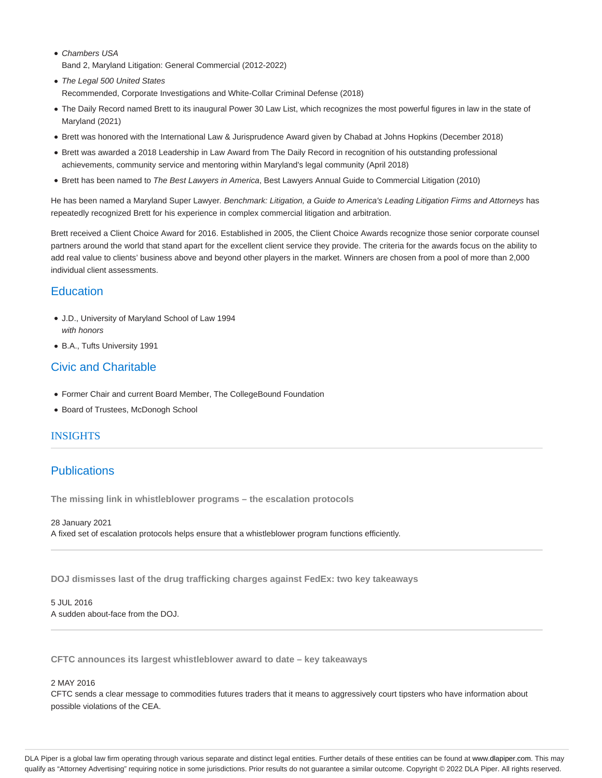- Chambers USA Band 2, Maryland Litigation: General Commercial (2012-2022)
- The Legal 500 United States Recommended, Corporate Investigations and White-Collar Criminal Defense (2018)
- The Daily Record named Brett to its inaugural Power 30 Law List, which recognizes the most powerful figures in law in the state of Maryland (2021)
- Brett was honored with the International Law & Jurisprudence Award given by Chabad at Johns Hopkins (December 2018)
- Brett was awarded a 2018 Leadership in Law Award from The Daily Record in recognition of his outstanding professional achievements, community service and mentoring within Maryland's legal community (April 2018)
- Brett has been named to The Best Lawyers in America, Best Lawyers Annual Guide to Commercial Litigation (2010)

He has been named a Maryland Super Lawyer. Benchmark: Litigation, a Guide to America's Leading Litigation Firms and Attorneys has repeatedly recognized Brett for his experience in complex commercial litigation and arbitration.

Brett received a Client Choice Award for 2016. Established in 2005, the Client Choice Awards recognize those senior corporate counsel partners around the world that stand apart for the excellent client service they provide. The criteria for the awards focus on the ability to add real value to clients' business above and beyond other players in the market. Winners are chosen from a pool of more than 2,000 individual client assessments.

# **Education**

- J.D., University of Maryland School of Law 1994 with honors
- B.A., Tufts University 1991

# Civic and Charitable

- Former Chair and current Board Member, The CollegeBound Foundation
- Board of Trustees, McDonogh School

## INSIGHTS

# **Publications**

**The missing link in whistleblower programs – the escalation protocols**

28 January 2021 A fixed set of escalation protocols helps ensure that a whistleblower program functions efficiently.

**DOJ dismisses last of the drug trafficking charges against FedEx: two key takeaways**

5 JUL 2016 A sudden about-face from the DOJ.

**CFTC announces its largest whistleblower award to date – key takeaways**

### 2 MAY 2016

CFTC sends a clear message to commodities futures traders that it means to aggressively court tipsters who have information about possible violations of the CEA.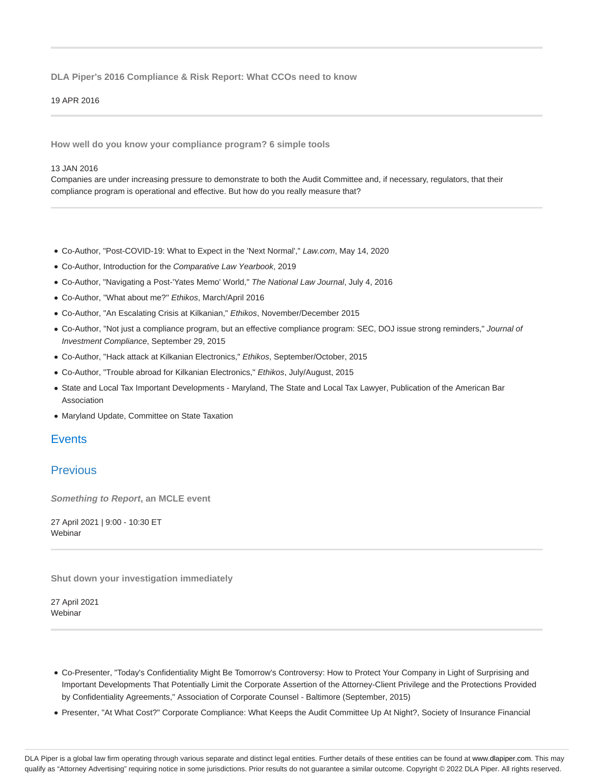### **DLA Piper's 2016 Compliance & Risk Report: What CCOs need to know**

#### 19 APR 2016

**How well do you know your compliance program? 6 simple tools**

#### 13 JAN 2016

Companies are under increasing pressure to demonstrate to both the Audit Committee and, if necessary, regulators, that their compliance program is operational and effective. But how do you really measure that?

- Co-Author, "Post-COVID-19: What to Expect in the 'Next Normal'," Law.com, May 14, 2020
- Co-Author, Introduction for the Comparative Law Yearbook, 2019
- Co-Author, "Navigating a Post-'Yates Memo' World," The National Law Journal, July 4, 2016
- Co-Author, ''What about me?'' Ethikos, March/April 2016
- Co-Author, "An Escalating Crisis at Kilkanian," Ethikos, November/December 2015
- Co-Author, "Not just a compliance program, but an effective compliance program: SEC, DOJ issue strong reminders," Journal of Investment Compliance, September 29, 2015
- Co-Author, "Hack attack at Kilkanian Electronics," Ethikos, September/October, 2015
- Co-Author, "Trouble abroad for Kilkanian Electronics," Ethikos, July/August, 2015
- State and Local Tax Important Developments Maryland, The State and Local Tax Lawyer, Publication of the American Bar Association
- Maryland Update, Committee on State Taxation

## **Events**

## **Previous**

**Something to Report, an MCLE event**

27 April 2021 | 9:00 - 10:30 ET Webinar

**Shut down your investigation immediately**

27 April 2021 **Webinar** 

- Co-Presenter, "Today's Confidentiality Might Be Tomorrow's Controversy: How to Protect Your Company in Light of Surprising and Important Developments That Potentially Limit the Corporate Assertion of the Attorney-Client Privilege and the Protections Provided by Confidentiality Agreements," Association of Corporate Counsel - Baltimore (September, 2015)
- Presenter, "At What Cost?" Corporate Compliance: What Keeps the Audit Committee Up At Night?, Society of Insurance Financial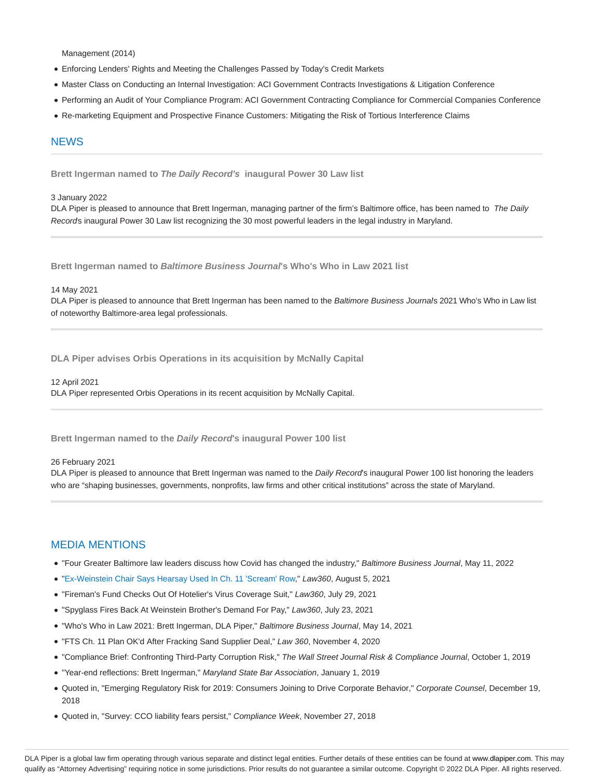Management (2014)

- Enforcing Lenders' Rights and Meeting the Challenges Passed by Today's Credit Markets
- Master Class on Conducting an Internal Investigation: ACI Government Contracts Investigations & Litigation Conference
- Performing an Audit of Your Compliance Program: ACI Government Contracting Compliance for Commercial Companies Conference
- Re-marketing Equipment and Prospective Finance Customers: Mitigating the Risk of Tortious Interference Claims

### **NFWS**

**Brett Ingerman named to The Daily Record's inaugural Power 30 Law list**

### 3 January 2022

DLA Piper is pleased to announce that Brett Ingerman, managing partner of the firm's Baltimore office, has been named to The Daily Records inaugural Power 30 Law list recognizing the 30 most powerful leaders in the legal industry in Maryland.

**Brett Ingerman named to Baltimore Business Journal's Who's Who in Law 2021 list**

#### 14 May 2021

DLA Piper is pleased to announce that Brett Ingerman has been named to the Baltimore Business Journals 2021 Who's Who in Law list of noteworthy Baltimore-area legal professionals.

**DLA Piper advises Orbis Operations in its acquisition by McNally Capital**

12 April 2021 DLA Piper represented Orbis Operations in its recent acquisition by McNally Capital.

**Brett Ingerman named to the Daily Record's inaugural Power 100 list**

#### 26 February 2021

DLA Piper is pleased to announce that Brett Ingerman was named to the Daily Record's inaugural Power 100 list honoring the leaders who are "shaping businesses, governments, nonprofits, law firms and other critical institutions" across the state of Maryland.

### MEDIA MENTIONS

- . "Four Greater Baltimore law leaders discuss how Covid has changed the industry," Baltimore Business Journal, May 11, 2022
- "Ex-Weinstein Chair Says Hearsay Used In Ch. 11 'Scream' Row," Law360, August 5, 2021
- "Fireman's Fund Checks Out Of Hotelier's Virus Coverage Suit," Law360, July 29, 2021
- "Spyglass Fires Back At Weinstein Brother's Demand For Pay," Law360, July 23, 2021
- "Who's Who in Law 2021: Brett Ingerman, DLA Piper," Baltimore Business Journal, May 14, 2021
- "FTS Ch. 11 Plan OK'd After Fracking Sand Supplier Deal," Law 360, November 4, 2020
- "Compliance Brief: Confronting Third-Party Corruption Risk," The Wall Street Journal Risk & Compliance Journal, October 1, 2019
- "Year-end reflections: Brett Ingerman," Maryland State Bar Association, January 1, 2019
- Quoted in, "Emerging Regulatory Risk for 2019: Consumers Joining to Drive Corporate Behavior," Corporate Counsel, December 19, 2018
- Quoted in, "Survey: CCO liability fears persist," Compliance Week, November 27, 2018